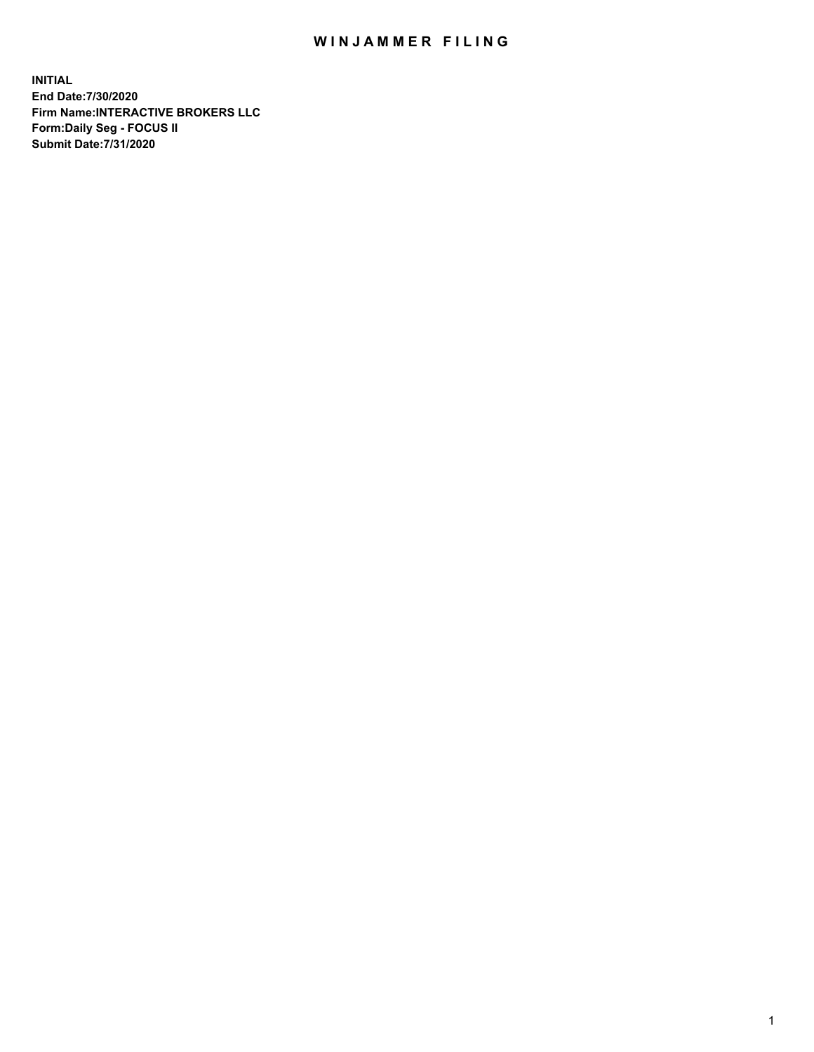## WIN JAMMER FILING

**INITIAL End Date:7/30/2020 Firm Name:INTERACTIVE BROKERS LLC Form:Daily Seg - FOCUS II Submit Date:7/31/2020**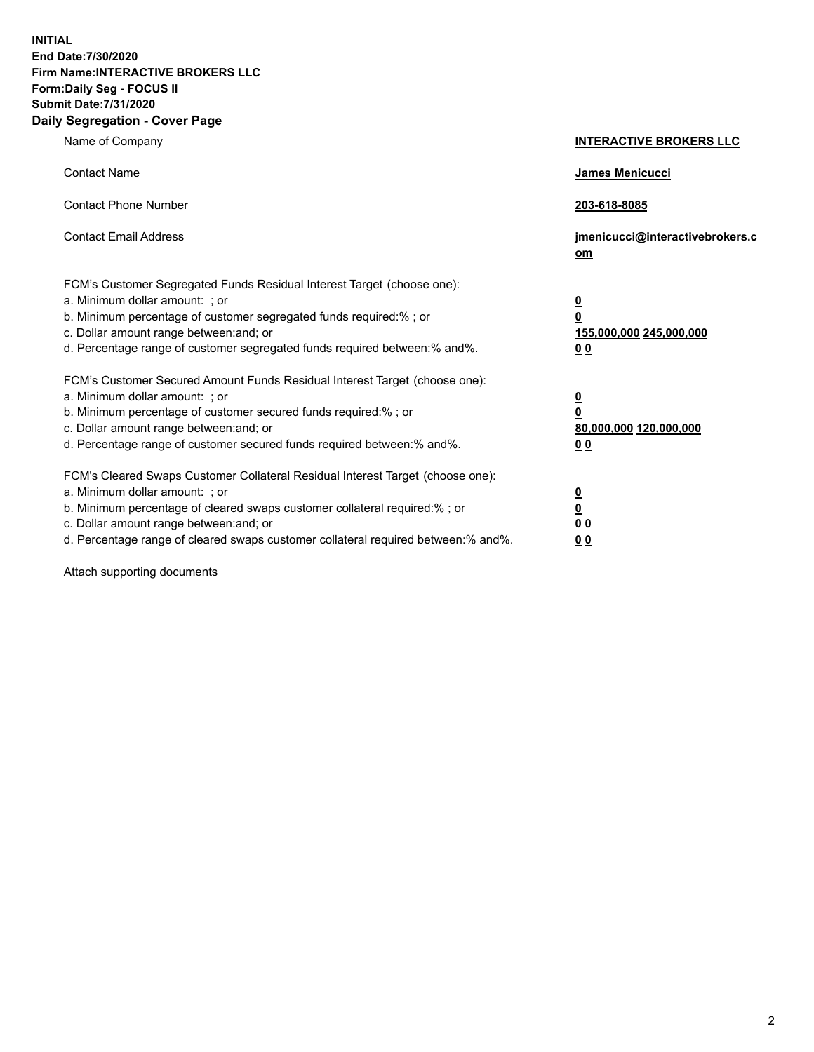**INITIAL End Date:7/30/2020 Firm Name:INTERACTIVE BROKERS LLC Form:Daily Seg - FOCUS II Submit Date:7/31/2020 Daily Segregation - Cover Page**

| Name of Company                                                                                                                                                                                                                                                                                                                | <b>INTERACTIVE BROKERS LLC</b>                                                   |  |
|--------------------------------------------------------------------------------------------------------------------------------------------------------------------------------------------------------------------------------------------------------------------------------------------------------------------------------|----------------------------------------------------------------------------------|--|
| <b>Contact Name</b>                                                                                                                                                                                                                                                                                                            | James Menicucci                                                                  |  |
| <b>Contact Phone Number</b>                                                                                                                                                                                                                                                                                                    | 203-618-8085                                                                     |  |
| <b>Contact Email Address</b>                                                                                                                                                                                                                                                                                                   | jmenicucci@interactivebrokers.c<br>om                                            |  |
| FCM's Customer Segregated Funds Residual Interest Target (choose one):<br>a. Minimum dollar amount: ; or<br>b. Minimum percentage of customer segregated funds required:% ; or<br>c. Dollar amount range between: and; or<br>d. Percentage range of customer segregated funds required between:% and%.                         | <u>0</u><br>$\overline{\mathbf{0}}$<br>155,000,000 245,000,000<br>0 <sub>0</sub> |  |
| FCM's Customer Secured Amount Funds Residual Interest Target (choose one):<br>a. Minimum dollar amount: ; or<br>b. Minimum percentage of customer secured funds required:% ; or<br>c. Dollar amount range between: and; or<br>d. Percentage range of customer secured funds required between:% and%.                           | <u>0</u><br>$\overline{\mathbf{0}}$<br>80,000,000 120,000,000<br>0 <sub>0</sub>  |  |
| FCM's Cleared Swaps Customer Collateral Residual Interest Target (choose one):<br>a. Minimum dollar amount: ; or<br>b. Minimum percentage of cleared swaps customer collateral required:% ; or<br>c. Dollar amount range between: and; or<br>d. Percentage range of cleared swaps customer collateral required between:% and%. | <u>0</u><br>$\underline{\mathbf{0}}$<br>0 <sub>0</sub><br>0 <sub>0</sub>         |  |

Attach supporting documents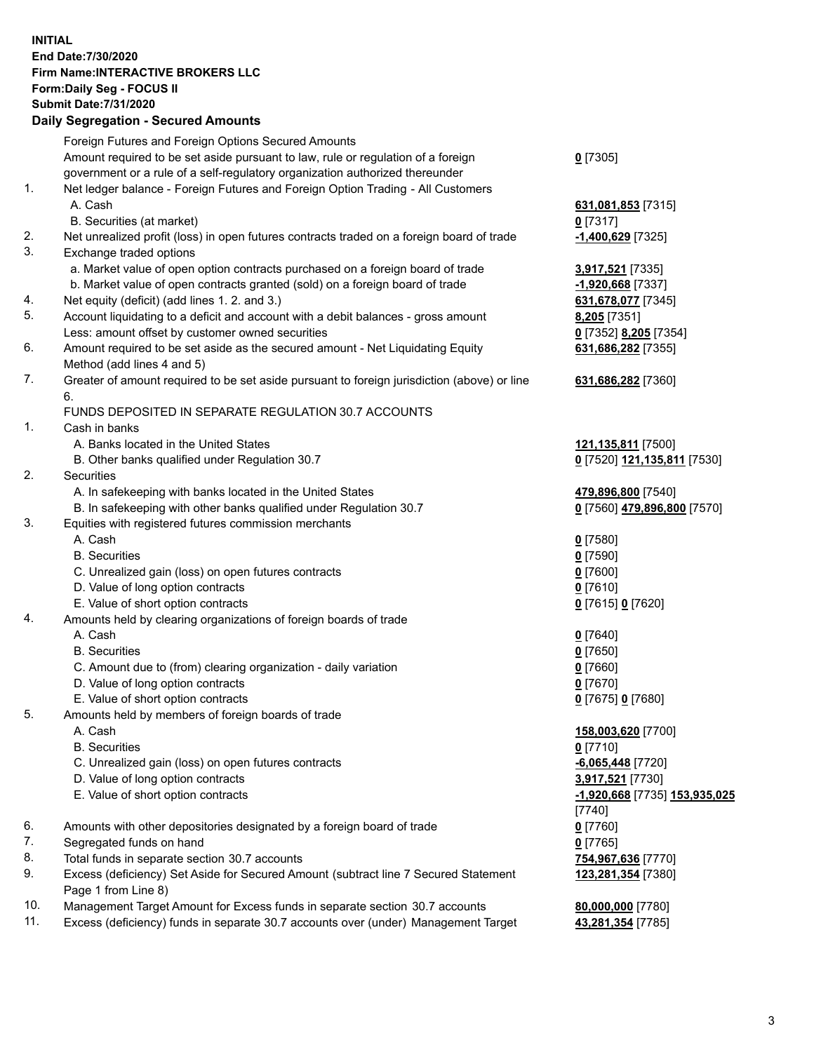**INITIAL End Date:7/30/2020 Firm Name:INTERACTIVE BROKERS LLC Form:Daily Seg - FOCUS II Submit Date:7/31/2020 Daily Segregation - Secured Amounts**

## Foreign Futures and Foreign Options Secured Amounts Amount required to be set aside pursuant to law, rule or regulation of a foreign government or a rule of a self-regulatory organization authorized thereunder **0** [7305] 1. Net ledger balance - Foreign Futures and Foreign Option Trading - All Customers A. Cash **631,081,853** [7315] B. Securities (at market) **0** [7317] 2. Net unrealized profit (loss) in open futures contracts traded on a foreign board of trade **-1,400,629** [7325] 3. Exchange traded options a. Market value of open option contracts purchased on a foreign board of trade **3,917,521** [7335] b. Market value of open contracts granted (sold) on a foreign board of trade **-1,920,668** [7337] 4. Net equity (deficit) (add lines 1. 2. and 3.) **631,678,077** [7345] 5. Account liquidating to a deficit and account with a debit balances - gross amount **8,205** [7351] Less: amount offset by customer owned securities **0** [7352] **8,205** [7354] 6. Amount required to be set aside as the secured amount - Net Liquidating Equity Method (add lines 4 and 5) **631,686,282** [7355] 7. Greater of amount required to be set aside pursuant to foreign jurisdiction (above) or line 6. **631,686,282** [7360] FUNDS DEPOSITED IN SEPARATE REGULATION 30.7 ACCOUNTS 1. Cash in banks A. Banks located in the United States **121,135,811** [7500] B. Other banks qualified under Regulation 30.7 **0** [7520] **121,135,811** [7530] 2. Securities A. In safekeeping with banks located in the United States **479,896,800** [7540] B. In safekeeping with other banks qualified under Regulation 30.7 **0** [7560] **479,896,800** [7570] 3. Equities with registered futures commission merchants A. Cash **0** [7580] B. Securities **0** [7590] C. Unrealized gain (loss) on open futures contracts **0** [7600] D. Value of long option contracts **0** [7610] E. Value of short option contracts **0** [7615] **0** [7620] 4. Amounts held by clearing organizations of foreign boards of trade A. Cash **0** [7640] B. Securities **0** [7650] C. Amount due to (from) clearing organization - daily variation **0** [7660] D. Value of long option contracts **0** [7670] E. Value of short option contracts **0** [7675] **0** [7680] 5. Amounts held by members of foreign boards of trade A. Cash **158,003,620** [7700] B. Securities **0** [7710] C. Unrealized gain (loss) on open futures contracts **-6,065,448** [7720] D. Value of long option contracts **3,917,521** [7730] E. Value of short option contracts **-1,920,668** [7735] **153,935,025** [7740] 6. Amounts with other depositories designated by a foreign board of trade **0** [7760] 7. Segregated funds on hand **0** [7765] 8. Total funds in separate section 30.7 accounts **754,967,636** [7770] 9. Excess (deficiency) Set Aside for Secured Amount (subtract line 7 Secured Statement Page 1 from Line 8) **123,281,354** [7380] 10. Management Target Amount for Excess funds in separate section 30.7 accounts **80,000,000** [7780] 11. Excess (deficiency) funds in separate 30.7 accounts over (under) Management Target **43,281,354** [7785]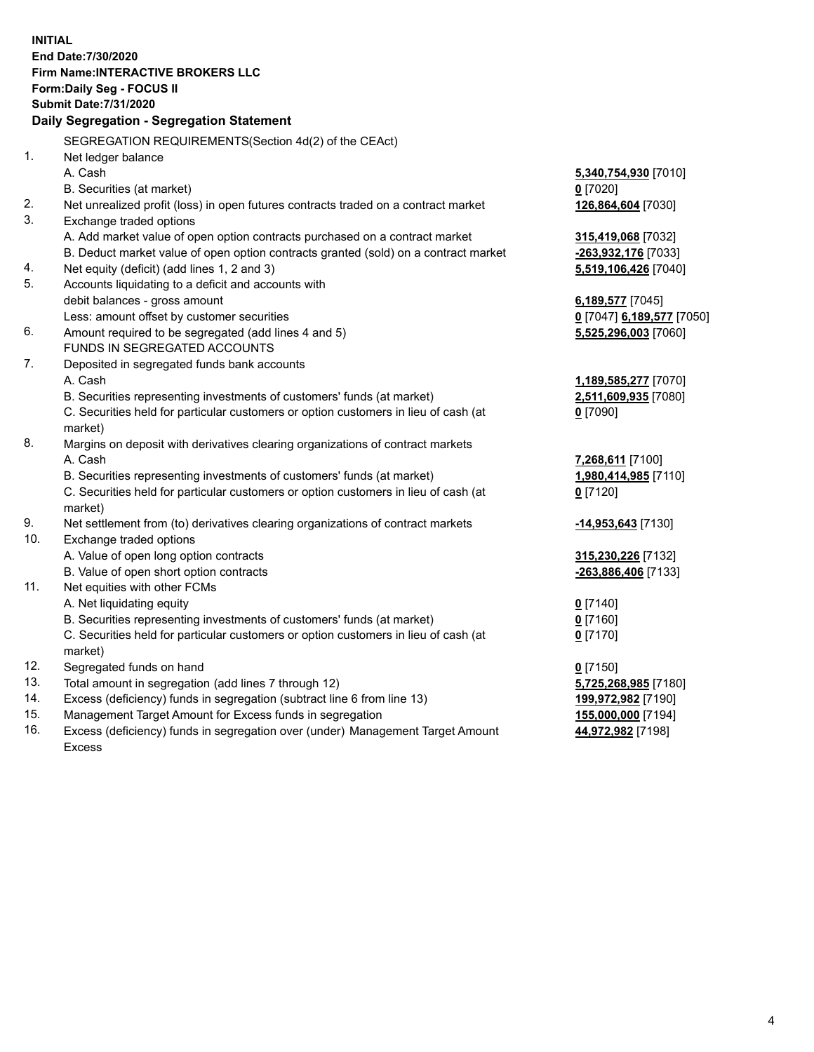**INITIAL End Date:7/30/2020 Firm Name:INTERACTIVE BROKERS LLC Form:Daily Seg - FOCUS II Submit Date:7/31/2020 Daily Segregation - Segregation Statement** SEGREGATION REQUIREMENTS(Section 4d(2) of the CEAct) 1. Net ledger balance A. Cash **5,340,754,930** [7010] B. Securities (at market) **0** [7020] 2. Net unrealized profit (loss) in open futures contracts traded on a contract market **126,864,604** [7030] 3. Exchange traded options A. Add market value of open option contracts purchased on a contract market **315,419,068** [7032] B. Deduct market value of open option contracts granted (sold) on a contract market **-263,932,176** [7033] 4. Net equity (deficit) (add lines 1, 2 and 3) **5,519,106,426** [7040] 5. Accounts liquidating to a deficit and accounts with debit balances - gross amount **6,189,577** [7045] Less: amount offset by customer securities **0** [7047] **6,189,577** [7050] 6. Amount required to be segregated (add lines 4 and 5) **5,525,296,003** [7060] FUNDS IN SEGREGATED ACCOUNTS 7. Deposited in segregated funds bank accounts A. Cash **1,189,585,277** [7070] B. Securities representing investments of customers' funds (at market) **2,511,609,935** [7080] C. Securities held for particular customers or option customers in lieu of cash (at market) **0** [7090] 8. Margins on deposit with derivatives clearing organizations of contract markets A. Cash **7,268,611** [7100] B. Securities representing investments of customers' funds (at market) **1,980,414,985** [7110] C. Securities held for particular customers or option customers in lieu of cash (at market) **0** [7120] 9. Net settlement from (to) derivatives clearing organizations of contract markets **-14,953,643** [7130] 10. Exchange traded options A. Value of open long option contracts **315,230,226** [7132] B. Value of open short option contracts **-263,886,406** [7133] 11. Net equities with other FCMs A. Net liquidating equity **0** [7140] B. Securities representing investments of customers' funds (at market) **0** [7160] C. Securities held for particular customers or option customers in lieu of cash (at market) **0** [7170] 12. Segregated funds on hand **0** [7150] 13. Total amount in segregation (add lines 7 through 12) **5,725,268,985** [7180] 14. Excess (deficiency) funds in segregation (subtract line 6 from line 13) **199,972,982** [7190] 15. Management Target Amount for Excess funds in segregation **155,000,000** [7194] 16. Excess (deficiency) funds in segregation over (under) Management Target Amount **44,972,982** [7198]

Excess